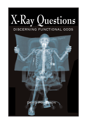# **X-Ray Questions X-Ray Questions** discerning functional gods

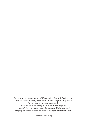Here are some excerpts from the chapter, "X-Ray Questions" from David Powlison's book, *Seeing With New Eyes: Counseling and the Human Condition Through the Lens of Scripture.* I strongly encourage you to read these carefully. I believe this is excellent, edifying, biblical material that has the potential to use God's Word and grace to transform deep thinking and feeling patterns and bring deep change to our lives from the inside out—making the new man visible in life.

Cover Photo: Nick Veasey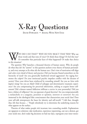# **X-Ray Questions**

**DAVID POWLISON • SEEING WITH NEW EYES**

WHY DID I DO THAT?" WHY DO YOU REACT THAT WAY? Why use<br>those words and that tone of voice? Or think those things? Or feel this way?<br>Or remember that particular facet of what happened? Or make that choice<br>in this situation? those words and that tone of voice? Or think those things? Or feel this way? Or remember that particular facet of what happened? Or make that choice in this situation?

The question *Why?* launches a thousand theories of human nature. Why do people do what they do? An "answer" to this question anchors every theory of human personality, and every attempt to fix what ails the human race. One's view of motivation will align and color every detail of theory and practice: Did you become fixated somewhere on the hierarchy of need? Are you genetically hardwired toward aggression? Are raging hormones the culprit? Do your instinctual psychic impulses conflict with the dictates of society? Have your drives been reinforced by rewarding stimuli? Are you an Aries with Jupiter rising? Are you an Adult Child of unhappy and determinative traumatic experience? Are you compensating for perceived inferiorities, seeking to acquire better selfesteem? Did a demon named Addiction infiltrate a crevice in your personality? Did you have a failure of willpower? Are you ignorant of good doctrine? Are you temperamentally a melancholic or a sanguine, pessimist or optimist, introvert or extrovert? Are you immersed in the ideological false consciousness that characterizes your social class? Does your self-talk misrepresent the bases for identity and self-worth? "I did that, thought that, felt that *because*.…" People relentlessly try to determine the underlying reasons for what appears on the surface.

Theories of what makes people tick incarnate into counseling models. Explanations are signposts to solutions: take medication, experience reparenting, cast out a demon, get your needs met, don't make big decisions on bad star days, reprogram your inner mono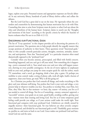logue, explore your pain. Presumed reasons and appropriate responses are fiercely debated. In any university library, hundreds of yards of library shelves collect and collate the debates.

But the Lord God has a great deal to say on the issue. He vigorously rebuts the contenders and counterfeits by demonstrating that human motivation has to do with Him. Counseling that aims to arise from Scripture must do justice to what God says about the whys and wherefores of the human heart. Scripture claims to search out the "thoughts and intentions of the heart" according to the specific criteria by which the Searcher of hearts evaluates what He sees in us (Heb 4:12-13).

# **Discerning our Functional Gods**

The list of "X-ray questions" in this chapter provides aid in discerning the patterns of a person's motivation. The questions aim to help people identify the ungodly masters that occupy positions of authority in their hearts. These questions reveal "functional gods," what or who actually controls particular actions, thoughts, emotions, attitudes, memories, and anticipations. Note that "functional gods" in a particular situation often stand diametrically opposed to the "professed God."

Consider when you become anxious, preoccupied, and filled with fretful concern. Something happened, and you can't get it off your mind. Now something else is happening—you're consumed with it. Your mind turns over and over what will happen tomorrow, chewing on every possible contingency. As the sin of worry tightens its unpleasant hold on your soul, perhaps you jump for some escapist quick fix: raid the icebox, watch TV, masturbate, read a novel, go shopping, drink a beer, play a game. Or perhaps you mobilize to seize control: make a string of phone calls, work all night, build a faction of supporters, clean your house, get mad. Why is all this going on?

As a Christian you profess that God controls all things, and works everything to His glory and your ultimate well-being. You profess that God is your rock and refuge, a very present help in whatever troubles you face. You profess to worship Him, trust Him, love Him, obey Him. But in that moment—or hour, day, season—of anxiety, you live as if *you* needed to control all things. You live as if something—money, someone's approval, a "successful" sermon, your grade on an exam, good health, avoiding conflict, getting your way—matters more than trusting and loving God. You live as if some temporary good feeling could provide you refuge, as if your actions could make the world right. Your functional god competes with your professed God. Unbelievers are wholly owned by ungodly motives—their functional gods. Yet true believers are often severely compromised, distracted, and divided by our functional gods as well. Thankfully, grace reorients us, purifies us, and turns us back to our Lord. Grace makes our professed God and functional God one and the same.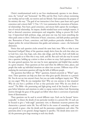Christ's transformational work in our lives simultaneously operates in two dimensions, the "vertical" and "horizontal," the Why and the How. God is always reorienting our worship *and* our walk, our motives and our lifestyle. Paul summarizes the purpose of his ministry this way: "The goal of our instruction is love from a pure heart and a good conscience and a sincere faith" (1 Tim. 1:5). Love summarizes the renovation of horizontal relationships. Pure heart, good conscience, and sincere faith capture the reconfiguration of vertical relationship. An impure, double-minded heart serves multiple masters. A bad or distorted conscience misinterprets and misguides, failing to process life God's way. A hypocritical faith professes, sings, and prays one way, but trusts something else when push comes to shove. Defections of heart, conscience, and faith produce particular sins. Restoration of heart, conscience, and faith produces particular obediences. This chapter probes the vertical dimension that guides and animates—*causes*—the horizontal dimension.

Notice that each question circles around the same basic issue: Who or what is your functional God/god? Many of the questions simply derive from the *verbs* that relate you to God: love, trust, fear, hope, seek, obey, take refuge, and the like. Each verb holds out a lamp to guide us to Him who is way, truth, and life. But each verb also may be turned into a question, holding up a mirror to show us where we stray. Each question comes at the same general question, but one may be more appropriate and helpful than another in a given situation. These questions are best used when the different times, places, and people that make up individual situations are taken into account. Different ways of formulating the motivation question will ring the bells of different people.

The questions that follow are "Why?" questions, framed concretely as "What?" questions. These questions can help you draw out what gives specific direction to a person's life. You do not see into anyone's heart, but you can make intelligent inquiry into "Why are you angry? Why do you manipulate him? Why are you anxious in that situation? Why do you have a problem of lust at that particular time? Why do you drink to excess?" The Bible—the penetrating and light-giving word of the Searcher of hearts goes below behaviors and emotions in order to expose motives before God. Reorienting motives through the grace of the gospel can follow when there is conviction of particular forms of disorientation.

These questions can be used in several different ways. Each can be focused "microscopically," to dissect the details of one particular incident in a person's life. Or each can be focused to give a "wide-angle" panoramic view, to illuminate recurrent patterns that characterize a person's entire life. You will find in the course of counseling—and your own growth in grace—that the details and the panorama complement each other. The panorama alone is too general; change happens in specifics. The details alone seem trivial; the panorama gives large meaning to such tiny details.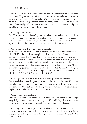#### 4 X-RAY QUESTIONS

The Bible references barely scratch the surface of Scripture's treatment of what motivates people. They are meant to prime the pump for your own study and reflection. Be sure to ask the questions first "existentially." What is motivating you or another? Do not run to the "Christian right answer" without working hard and honestly to analyze deviant "functional gods." Intelligent repentance will make the right answers really right and will make the love of Jesus your joy and hope.

# **1. What do you love? Hate?**

This "first great commandment" question searches you out—heart, soul, mind and might. There is no deeper question to ask of any person at any time. There is no deeper explanation for why you do what you do. Disordered loves hijack our hearts from our rightful Lord and Father. (See Matt. 22:37-39; 2 Tim. 3:2-4; Luke 16:13-14).

#### **2. What do you want, desire, crave, lust, and wish for?**

*What desires do you serve and obey?* This summarizes the internal operations of the desiredriven "flesh" in the New Testament epistles. "My will be done" and "I want are often quite accessible. Various desires rule people, so go for details of *this* person, *now*, in *this* situation. Sometimes another person's will has control over you (peer pressure, people-pleasing, slave-like, or chameleon behavior). In such cases, your heart's craving is to get whatever good they promise and avoid whatever bad they threaten: "I crave to be included, appreciated, accepted, admired by you." (See Pss. 17:14-15, 73:23-28; Prov. 10:3, 10:28, 11:6-7; Gal. 5:16-25; Eph. 2:3; 4:22; 2 Tim. 2:22; Titus 3:3; 1 Peter 1:14; 2:11; 4:2; 2 Peter 1:4; 2:10; James 1:14-15; 4:1-3.)

#### **3. What do you seek, aim for, pursue? What are your goals and expectations?**

This particularly captures that your life is active and moves in a direction. We are purpose-full. Human motivation is not passive, as if hard-wired needs, instincts, or drives were controlled from outside us by being "unmet," "frustrated," or "conditioned." People are active verbs. (See Matt. 6:32-33; 2 Tim. 2:22.)

#### **4. Where do you bank your hopes?**

The future dimension is prominent in God's interpretation of human motives. People energetically sacrifice to attain what they hope for. What is it? People in despair have had hopes dashed. What were those shattered hopes? (See 1 Peter 1:13; 1 Tim. 6:17.)

# **5. What do you fear? What do you not want? What do you tend to worry about?**

Sinful fears are inverted cravings. If I want to avoid something at all costs—loss of reputation, loss of control, poverty, ill health, rejection, etc.—I am ruled by a lustful fear. (See Matt. 6:25-32; 13:22.)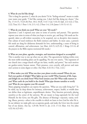#### **6. What do you feel like doing?**

This is slang for question 2, what do you desire? To be "feeling-oriented" means to make your wants your guide: "I feel like cursing you. I don't feel like doing my chores." (See Pss. 17:14-15, 73:23-28; Prov. 10:3, 10:28, 11:6-7; Gal. 5:16-25; Eph. 2:3; 4:22; 2 Tim. 2:22; Titus 3:3; 1 Peter 1:14; 2:11; 4:2; 2 Peter 1:4; 2:10; James 1:14-15; 4:1-3.)

#### **7. What do you think you need? What are your "felt needs"?**

Questions 2 and 3 exposed your aims in terms of activity and pursuit. This question exposes your aims in terms of what you hope to receive, get, and keep. Felt needs are frequently taken as self-evident necessities to be acquired, not as deceptive slave-masters. Our culture of need reinforces the flesh's instincts and habits. In most cases, a person's felt needs are slang for idolatrous demands for love, understanding, a sense of being in control, affirmation, and achievement. (see Matt. 6:8-15; 6:25-32; 1 Kings 3:5-14; all the prayers in the Bible express reoriented felt needs.)

#### **8. What are your plans, agendas, strategies, and intentions designed to accomplish?**

This is another way to size up what you are after. The egocentricity lurking within even the most noble-sounding plans can be appalling. No one ever asserts, "The expansion of our church into a mega-church will get me fame, wealth, and power," but such motives are garden-variety human nature. Their presence, even covertly, will pervert and stain one's actions to some degree or other. (See Matt. 6:32-33; 2 Tim. 2:22.)

# **9. What makes you tick? What sun does your planet revolve around? Where do you find your garden of delight? What lights up your world? What fountain of life, hope, and delight do you drink from? What food sustains your life? What really matters to you? What castle do you build in the clouds? What pipe dreams tantalize or terrify you? What do you organize your life around?**

Many gripping metaphors can express the question, "What are you really living for?" To be ruled, say, by deep thirsts for intimacy, achievement, respect, health, or wealth does not define these as legitimate, unproblematic desires. They function perversely, placing ourselves at the center of the universe. We are meant to long supremely for the Lord Himself, for the Giver, not His gifts. The absence of blessings—rejection, vanity, reviling, illness, poverty—often is the crucible in which we learn to love God for who He is. In our idolatry we make gifts out as supreme goods, and make the Giver into the errand boy of our desires. (See Isa. 1:29-30; 50:10-11; Jer. 2:13; 17:13; Matt. 4:4; 5:6; John 4:32-34; 6:25-69.)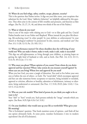# 6 X-RAY QUESTIONS

# **10. Where do you find refuge, safety, comfort, escape, pleasure, security?**

This is the question that Psalms invites. It digs out your false trusts, your escapisms that substitute for the Lord. Many "addictive behaviors" are helpfully addressed by this question. They often arise in the context of life's troubles and pressures, and function as false refuges. (See Pss. 23, 27, 31, 46, and about two-thirds of the rest of the Psalms.)

#### **11. What or whom do you trust?**

Trust is one of the major verbs relating you to God—or to false gods and lies. Crucial Psalms breathe trust in our Father and Shepherd. Where instead do you place life-directing, life-anchoring trust? In other people? In your abilities or achievements? In your church or theological tradition? In possessions? In diet, exercise, and medical care? (See Prov. 3:5; 11:28; 12:15; Pss. 23; 103; 131.)

**12. Whose performance matters? On whose shoulders does the well-being of your world rest? Who can make it better, make it work, make it safe, make it successful?** This digs out self-righteousness, or living through your children, or pinning hopes on getting the right kind of husband or wife, and so forth. (See Phil. 1:6; 2:13; 3:3-11; 4:13; Ps. 49:13; Jer. 17:1-14.)

# **13. Who must you please? Whose opinion of you counts? From whom do you desire approval and fear rejection? Whose value system do you measure yourself against? In whose eyes are you living? Whose love and approval do you need?**

When you lose God, you enter a jungle of distortion. You tend to live before your own eyes or before the eyes of others—or both. The "social idols" which encompass approval and fear can take numerous forms: acceptance or rejection, being included or excluded, approval or criticism, affection or hostility, adoration or belittlement, intimacy or alienation, being understood or caricatured. (See Prov. 1:7; 9:10; 29:25; John 12:43; 1 Cor. 4:3-5; 2 Cor.10:18.)

#### **14. Who are your role models? What kind of person do you think you ought to be or want to be?**

Your "idol" or "hero" reveals you. Such persons embody the "image" towards which you aspire. (See Rom. 8:29; Eph 4:24; Col. 3:10.)

#### **15. On your deathbed, what would sum up your life as worthwhile? What gives your life meaning?**

This is Ecclesiastes' question. That book examines scores of options—and finds all but one option ultimately futile. At some point, translate Ecclesiastes 2 into its modern equivalents! (See all of Ecclesiastes).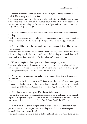# **16. How do you define and weigh success or failure, right or wrong, desirable or undesirable, in any particular situation?**

The standards that you serve and employ may be wildly distorted. God intends to renew your "conscience," that by which you evaluate yourself and others. If you approach life "in your own understanding" or "in your own eyes," you will live as a fool. (See 1 Cor. 10:24-27; Prov. 3:5; Judg. 21:25.)

# **17. What would make you feel rich, secure, prosperous? What must you get to make life sing?**

The Bible often uses the metaphor of treasure or inheritance to speak of motivation. (See Prov3:13-18; 8:10f, 8:17-21; Matt. 6:19-21; 13:45-46; Luke 16:10-15; 1 Peter 1:2-7.)

# **18. What would bring you the greatest pleasure, happiness and delight? The greatest pain and misery?**

Blessedness and accursedness are the Bible's way of discussing happiness and woe. What calculation do you make about where and how to find blessing? Your calculation reveals what you live for. (See Matt. 5:3-11; Pss. 1; 35; Jer. 17:7-8; Luke 6:27-42.)

#### **19. Whose coming into political power would make everything better?**

This used to be less true of Americans than of many other nations, where politics is a major locus of idolatrous hopes. But as cultural consensus breaks down, many people increasingly invest hopes in political power. (See Matt. 6:10.)

#### **20. Whose victory or success would make your life happy? How do you define victory and success?**

How does inertial self-interest reveal itself? Some people "live and die" based on the performance of a local sports team, the financial bottom line of their company, their grade point average, or their physical appearance. (See Rom. 8:37-39; Rev. 2:7; Pss. 96-99.)

#### **21. What do you see as your rights? What do you feel entitled to?**

This question often nicely illuminates the motivational pattern of angry, aggrieved, selfrighteous, self-pitying people. Our culture of entitlement reinforces the flesh's instincts and habits. "I deserve\_\_\_\_\_\_\_\_\_"? (See 1 Cor. 9; Rom. 5:6-10; Ps. 103:10.)

# **22. In what situations do you feel pressured or tense? Confident and relaxed? When you are pressured, where do you turn? What do you think about? What are your escapes? What do you escape from?**

This question comes at matters from a slightly different direction. Many times certain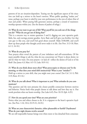# 6 X-RAY QUESTIONS

patterns of sin are situation-dependent. Teasing out the significant aspects of the situation can hold up a mirror to the heart's motives. When public speaking "makes you" tense, perhaps your heart is ruled by your own performance in the eyes of others (fear of man and pride). When paying bills generates anxiety, perhaps a strand of mammonworship operates within you. (See the dozens of psalms of refuge.)

# **23. What do you want to get out of life? What payoff do you seek out of the things you do? "What do you get out of doing that?"**

This is a concrete way to restate questions 3 and 8, digging out your operative goals. Idols, lies, and cravings *promise* goodies. Serve Baal, and he'll give you fertility. Get that cute guy to like you, and you'll feel good about yourself. Make \$100,000, and you'll show up those people who thought you'd never make it in life. (See Prov. 3:13-18; Matt. 6:1-5, 16-18.)

#### **24. What do you pray for?**

Your prayers often reveal the pattern of your imbalance and self-centeredness. Of the many possible things to ask for, what do you concentrate on? Prayer is about desire; we ask for what we want. Do your prayers—or lack of—reflect the desires of God or of the flesh? (See James 4:3; Matt. 6:5-15; Luke 18:9-14.)

#### **25. What do you think about most often? What preoccupies or obsesses you? In the morning, to what does your mind drift instinctively? What is your "mindset"?** Hold up a mirror to your drift, that you might reset your course! (See Col. 3:1-5; Phil. 3:19; Rom. 8:5-16.)

# **26. What do you talk about? What is important to you? What attitudes do you communicate?**

This question and the next presume the closest possible connection between motives and behavior. Notice both what people choose to talk about and how they say it. Our words proclaim what our hearts worship. (See Luke 6:45; Prov 10:19; Eph. 4:29.)

# **27. How do you spend your time? What are your priorities?**

Notice what you and others choose to do. It is a signpost to the heart's operative loyalties. (See Prov. 1:16; 10:4; 23:19-21; 24:33.)

# **28. What are your characteristic fantasies, either pleasurable or fearful? Daydreams? What do your night dreams revolve around?**

We are still responsible human beings even when more or less detached from conscious-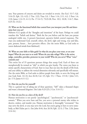ness. Your patterns of concern and desire are revealed in reverie. (See Eccl. 5:3-7; Gal. 5:16-25; Eph. 2:3; 4:22; 2 Tim. 2:22; Titus 3:3; 1 Peter 1:14; 2:11; 4:2; 2 Peter 1:4; 2:10; James 1:14-15; 4:1-3; Pss. 17:14-15, 73:23-28; Prov. 10:3, 10:28, 11:6-7; Matt. 6:25-32; 13:22.)

#### **29. What are the functional beliefs that control how you interpret your life and determine how you act?**

Hebrews 4:12 speaks of the "thoughts and intentions" of the heart. Perhaps we could translate this "beliefs and desires." Both the lies you believe and the lusts you pursue undergird visible sins. A person's functional, operative beliefs control responses. The ways you understand God, yourself, others, the devil, right and wrong, true and false, past, present, future… have pervasive effects. (See the entire Bible, as God seeks to renew darkened minds from falsehood.)

#### **30. What are your idols or false gods? In what do you place your trust, or set your hopes? What do you turn to or seek? Where do you take refuge? Who is the savior, judge, controller, provider, protector in your world? Who do you serve? What "voice" controls you?**

This entire list of 35 questions pursues things that usurp God. Each of these can metaphorically be termed an "idol" to which you give loyalty. The voices you listen to mimic specific characteristics of God. Start to trace that out into the details of life lived, and your ability to address the vertical dimension relevantly and specifically will mature. (See the entire Bible, as God seeks to deliver people from idols, to serve the living and true God; Ezek. 14:1-8; Acts 26:18; Col. 3:5; Eph. 5:5; 1 Thess. 1:9-10; 1 John 5:21; Jer. 17:5; James 4:11-12.)

#### **31. How do you live for yourself?**

This is a general way of asking any of these questions. "Self" takes a thousand shapes and wears a thousand disguises. (See Luke 9:23-225; 2 Cor. 5:14-15.)

#### **32. How do you live as a slave of the devil?**

Human motivation is not purely "psychological," "psychosocial," or "psychosocialsomatic." When you serve lusts and lies, you serve a personal enemy who wishes to deceive, enslave, and murder you. Human motivation is thoroughly "covenantal." You may serve the devil, or you may serve the Lord, but you're going to have to serve somebody, as Bob Dylan put it. (See John 8:44; Acts 26:18; Eph. 2:2-3; 2 Tim. 2:26; James 3:14-16.)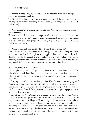# **33. How do you implicitly say, "If only.…" (to get what you want, avoid what you don't want, keep what you have)?**

The "if onlys" are slang that can uncover many motivational themes in the interest of creating biblical self-understanding and repentance. (See 1 Kings 21:1-7; Heb. 11:25; Phil. 3:4-11.)

# **34. What instinctively seems and feels right to you? What are your opinions, things you feel are true?**

You not only "feel like" doing some things (question 6 above), you also "feel that" certain things are true. In God's view, foolishness is opinionated, but wisdom is correctable, as it listens and learns. (See Judges 21:25; Prov. 3:5; 3:7; 12:15; 14:12; 18:2; Isa. 53:6; Phil. 3:19; Rom. 16:18.)

# **35. Where do you find your identity? How do you define who you are?**

The Bible says radical things about self-knowledge, identity, and the categories of selfevaluation ("conscience"). The places people typically look for identity are dry wells. (For example, take the book of Ephesians and notice every word or phrase that describes "identity," either about Paul himself, or about who we used to be, or about who we now are. You will find more than thirty different statements in this short letter.)

# **Establishing a Plan for Change**

This sampler of questions will get you thinking fruitfully about how human life is exhaustively God-relational. Let me reinforce three points that I have found particularly helpful in keeping my compass bearings, both in counseling and in seeking to repent of my own sins.

First, my rule-of-thumb is a twofold question: *What lies and lusts are being expressed through this sinful pattern of life?* Dig under irritability, selfishness, hopelessness, escapism, self-righteousness, self-pity, crippling fears, complaining—whatever—and you will find a mosaic of *specific lies believed and cravings pursued.* Scripture equips you to get at them, to draw them into the light.

Second, *the verbs that relate people to God must become an active part of your thinking.* People are *always* doing something with God. Human beings either love God—or despise him and love something else. We take refuge in God—or flee from him and find refuge in something else. We set our hopes in God—or we turn from him and hope in something else. We fear God—or we ignore him and fear something else. Scripture will come to life in new ways as you develop an alertness to how the man-before-God verbs play out in real life. Such perspective grants powerful insights both for evangelistic counseling and for helping the saints grow.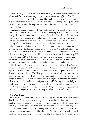Third, *by seeing the God-relatedness of all motivation, you see that what is wrong with us calls for a God-related solution: the grace, peace, power, and presence of Jesus Christ.* Human motivation is about the vertical dimension. The good news of Christ is no add-on, no religiously-toned way to meet pre-existent desires and needs. Living faith in Jesus Christ is the only real solution, the only sane motivation, the radical alternative to a thousand forms of deviance.

Sanctification aims to purify both heart and members, to change both motives and behavior. Both matter. Imagine sitting on a hill overlooking a lake. You watch a powerboat speed across the water. You see and hear its "behavior": it accelerates from the dock, makes a wide turn, bounces over another wake at high speed, suddenly cuts its motor, drifts into the shallows by an islet, splashes an anchor overboard. Why did it behave in that way? If you were able to zoom in, you would find out about its "motives." You would find what powered and directed the boat: a 200 horsepower inboard V-8 motor, a rudder and steering wheel, the thoughts and intentions of the pilot. Why did the boat go to the island? To find buried treasure? Escape from the police? Take the family for a picnic? Test drive the boat for possible purchase? Flag down a passerby because it ran out of gas? To fully understand and "help" the powerboat, you must converse about both the visible and the invisible, both behavior and motive. The Bible gets at both results and reasons. To evaluate and "counsel" the powerboat, you need to pursue all that can be known.

The Knower of *hearts* will recompense each person according to his *deeds* (see Jer.17:10). Scripture never bifurcates motive and behavior. The mirror of Scripture exposes both. The lamp of Scripture guides both. The grace and power of Jesus Christ change both root and fruit. The "first great commandment" addresses motivational roots: Do you love God with all your heart, soul, mind, and strength? Or does something else divide and steal your affections? The "second great commandment" addresses behavioral fruits: Do you love your neighbor as yourself? Or do you misuse, bully, fear, avoid, hate, ignore your neighbor? The gospel of Jesus Christ bridges from darkness to light. Grace takes out of us the heart of stone, teaching us to know God; grace replaces the hands and tongue that work evils, teaching us to live more beautiful lives.

#### **Two Examples**

Any of these 35 questions can be asked directly of a person in this or an appropriately altered form. But they are not always questions to ask directly. Sometimes it is better simply to listen and observe, combing through the fruit in a person's life for the patterns that might indicate the heart's functional commitments. I remember noticing how a man I counseled would apologize profusely, with evident agitation and distress, each time he arrived a few minutes late. These little bits "fit" with other pieces of the puzzle that hadn't quite taken shape yet in our counseling conversation. As it turned out, he